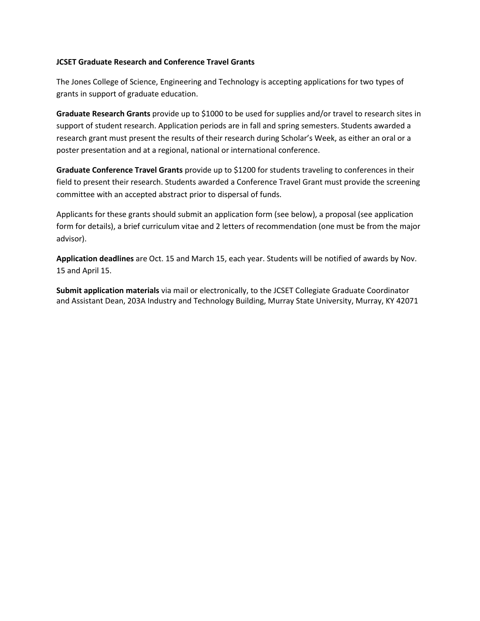## **JCSET Graduate Research and Conference Travel Grants**

The Jones College of Science, Engineering and Technology is accepting applications for two types of grants in support of graduate education.

**Graduate Research Grants** provide up to \$1000 to be used for supplies and/or travel to research sites in support of student research. Application periods are in fall and spring semesters. Students awarded a research grant must present the results of their research during Scholar's Week, as either an oral or a poster presentation and at a regional, national or international conference.

**Graduate Conference Travel Grants** provide up to \$1200 for students traveling to conferences in their field to present their research. Students awarded a Conference Travel Grant must provide the screening committee with an accepted abstract prior to dispersal of funds.

Applicants for these grants should submit an application form (see below), a proposal (see application form for details), a brief curriculum vitae and 2 letters of recommendation (one must be from the major advisor).

**Application deadlines** are Oct. 15 and March 15, each year. Students will be notified of awards by Nov. 15 and April 15.

**Submit application materials** via mail or electronically, to the JCSET Collegiate Graduate Coordinator and Assistant Dean, 203A Industry and Technology Building, Murray State University, Murray, KY 42071